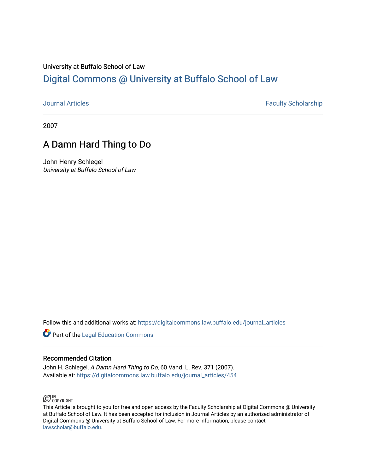# University at Buffalo School of Law [Digital Commons @ University at Buffalo School of Law](https://digitalcommons.law.buffalo.edu/)

[Journal Articles](https://digitalcommons.law.buffalo.edu/journal_articles) **Faculty Scholarship Faculty Scholarship** 

2007

# A Damn Hard Thing to Do

John Henry Schlegel University at Buffalo School of Law

Follow this and additional works at: [https://digitalcommons.law.buffalo.edu/journal\\_articles](https://digitalcommons.law.buffalo.edu/journal_articles?utm_source=digitalcommons.law.buffalo.edu%2Fjournal_articles%2F454&utm_medium=PDF&utm_campaign=PDFCoverPages) 

**Part of the Legal Education Commons** 

## Recommended Citation

John H. Schlegel, A Damn Hard Thing to Do, 60 Vand. L. Rev. 371 (2007). Available at: [https://digitalcommons.law.buffalo.edu/journal\\_articles/454](https://digitalcommons.law.buffalo.edu/journal_articles/454?utm_source=digitalcommons.law.buffalo.edu%2Fjournal_articles%2F454&utm_medium=PDF&utm_campaign=PDFCoverPages)



This Article is brought to you for free and open access by the Faculty Scholarship at Digital Commons @ University at Buffalo School of Law. It has been accepted for inclusion in Journal Articles by an authorized administrator of Digital Commons @ University at Buffalo School of Law. For more information, please contact [lawscholar@buffalo.edu](mailto:lawscholar@buffalo.edu).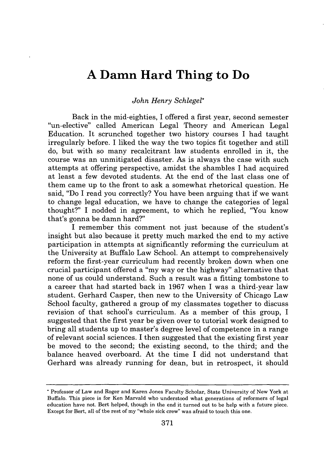# **A Damn Hard Thing to Do**

### *John Henry Schlegel\**

Back in the mid-eighties, I offered a first year, second semester "un-elective" called American Legal Theory and American Legal Education. It scrunched together two history courses I had taught irregularly before. I liked the way the two topics fit together and still do, but with so many recalcitrant law students enrolled in it, the course was an unmitigated disaster. As is always the case with such attempts at offering perspective, amidst the shambles I had acquired at least a few devoted students. At the end of the last class one of them came up to the front to ask a somewhat rhetorical question. He said, "Do I read you correctly? You have been arguing that if we want to change legal education, we have to change the categories of legal thought?" I nodded in agreement, to which he replied, "You know that's gonna be damn hard?"

I remember this comment not just because of the student's insight but also because it pretty much marked the end to my active participation in attempts at significantly reforming the curriculum at the University at Buffalo Law School. An attempt to comprehensively reform the first-year curriculum had recently broken down when one crucial participant offered a "my way or the highway" alternative that none of us could understand. Such a result was a fitting tombstone to a career that had started back in 1967 when I was a third-year law student. Gerhard Casper, then new to the University of Chicago Law School faculty, gathered a group of my classmates together to discuss revision of that school's curriculum. As a member of this group, I suggested that the first year be given over to tutorial work designed to bring all students up to master's degree level of competence in a range of relevant social sciences. I then suggested that the existing first year be moved to the second; the existing second, to the third; and the balance heaved overboard. At the time I did not understand that Gerhard was already running for dean, but in retrospect, it should

**<sup>\*</sup>** Professor of Law and Roger and Karen Jones Faculty Scholar, State University of New York at Buffalo. This piece is for Ken Marvald who understood what generations of reformers of legal education have not. Bert helped, though in the end it turned out to be help with a future piece. Except for Bert, all of the rest of my "whole sick crew" was afraid to touch this one.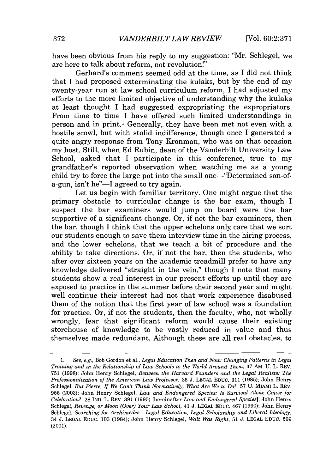have been obvious from his reply to my suggestion: "Mr. Schlegel, we are here to talk about reform, not revolution!"

Gerhard's comment seemed odd at the time, as I did not think that I had proposed exterminating the kulaks, but by the end of my twenty-year run at law school curriculum reform, I had adjusted my efforts to the more limited objective of understanding why the kulaks at least thought I had suggested expropriating the expropriators. From time to time I have offered such limited understandings in person and in print.' Generally, they have been met not even with a hostile scowl, but with stolid indifference, though once I generated a quite angry response from Tony Kronman, who was on that occasion my host. Still, when Ed Rubin, dean of the Vanderbilt University Law School, asked that I participate in this conference, true to my grandfather's reported observation when watching me as a young child try to force the large pot into the small one—"Determined son-ofa-gun, isn't he"—I agreed to try again.

Let us begin with familiar territory. One might argue that the primary obstacle to curricular change is the bar exam, though I suspect the bar examiners would jump on board were the bar supportive of a significant change. Or, if not the bar examiners, then the bar, though I think that the upper echelons only care that we sort our students enough to save them interview time in the hiring process, and the lower echelons, that we teach a bit of procedure and the ability to take directions. Or, if not the bar, then the students, who after over sixteen years on the academic treadmill prefer to have any knowledge delivered "straight in the vein," though I note that many students show a real interest in our present efforts up until they are exposed to practice in the summer before their second year and might well continue their interest had not that work experience disabused them of the notion that the first year of law school was a foundation for practice. Or, if not the students, then the faculty, who, not wholly wrongly, fear that significant reform would cause their existing storehouse of knowledge to be vastly reduced in value and thus themselves made redundant. Although these are all real obstacles, to

See, e.g., Bob Gordon et al., *Legal Education Then and Now: Changing Patterns in Legal Training and in the Relationship of Law Schools to the World Around Them, 47 AM. U. L. REV.* 751 (1998); John Henry Schlegel, *Between the Harvard Founders and the Legal Realists: The Professionalizationof the American Law Professor,* 35 J. LEGAL **EDUC. 311 (1985);** John Henry Schlegel, *But Pierre, If We Can't Think Normatively, What Are We to Do?*, 57 U. MIAMI L. REV. 955 (2003); John Henry Schlegel, *Law and Endangered Species: Is Survival Alone Cause for Celebration?,* 28 IND. L. REV. 391 (1995) [hereinafter *Law and Endangered Species*]; John Henry Schlegel, *Revenge, or Moon (Over) Your Law School,* 41 J. LEGAL EDUC. 467 (1990); John Henry Schlegel, *Searchingfor Archimedes - Legal Education, Legal Scholarship and Liberal Ideology,*  34 J. LEGAL EDUC. 103 (1984); John Henry Schlegel, *Walt Was Right,* 51 J. LEGAL EDUC. 599 (2001).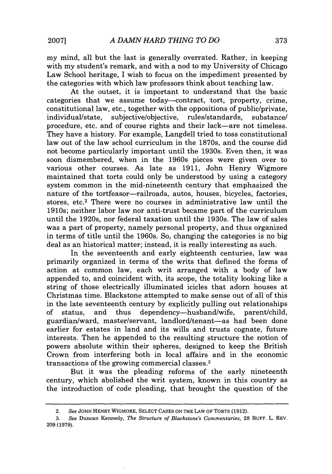my mind, all but the last is generally overrated. Rather, in keeping with my student's remark, and with a nod to my University of Chicago Law School heritage, I wish to focus on the impediment presented by the categories with which law professors think about teaching law.

At the outset, it is important to understand that the basic categories that we assume today-contract, tort, property, crime, constitutional law, etc., together with the oppositions of public/private, individual/state, subjective/objective, rules/standards, substance/ procedure, etc. and of course rights and their lack-are not timeless. They have a history. For example, Langdell tried to toss constitutional law out of the law school curriculum in the 1870s, and the course did not become particularly important until the 1930s. Even then, it was soon dismembered, when in the 1960s pieces were given over to various other courses. As late as 1911, John Henry Wigmore maintained that torts could only be understood by using a category system common in the mid-nineteenth century that emphasized the nature of the tortfeasor—railroads, autos, houses, bicycles, factories, stores, etc.<sup>2</sup> There were no courses in administrative law until the 1910s; neither labor law nor anti-trust became part of the curriculum until the 1920s, nor federal taxation until the 1930s. The law of sales was a part of property, namely personal property, and thus organized in terms of title until the 1960s. So, changing the categories is no big deal as an historical matter; instead, it is really interesting as such.

In the seventeenth and early eighteenth centuries, law was primarily organized in terms of the writs that defined the forms of action at common law, each writ arranged with a body of law appended to, and coincident with, its scope, the totality looking like a string of those electrically illuminated icicles that adorn houses at Christmas time. Blackstone attempted to make sense out of all of this in the late seventeenth century by explicitly pulling out relationships of status, and thus dependency-husbandwife, parent/child, guardian/ward, master/servant, landlord/tenant-as had been done earlier for estates in land and its wills and trusts cognate, future interests. Then he appended to the resulting structure the notion of powers absolute within their spheres, designed to keep the British Crown from interfering both in local affairs and in the economic transactions of the growing commercial classes. 3

But it was the pleading reforms of the early nineteenth century, which abolished the writ system, known in this country as the introduction of code pleading, that brought the question of the

<sup>2.</sup> *See* **JOHN** HENRY WIGMORE, **SELECT CASES ON** THE LAW OF TORTS **(1912).** 

<sup>3.</sup> *See* Duncan Kennedy, *The Structure of Blackstone's Commentaries,* **28 BUFF.** L. REV. **209 (1979).**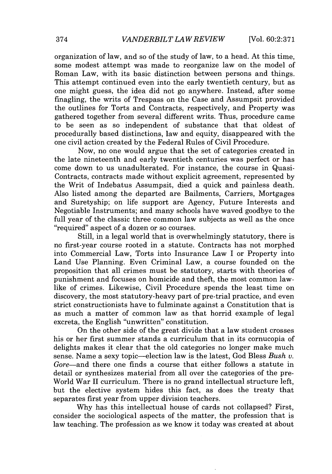organization of law, and so of the study of law, to a head. At this time, some modest attempt was made to reorganize law on the model of Roman Law, with its basic distinction between persons and things. This attempt continued even into the early twentieth century, but as one might guess, the idea did not go anywhere. Instead, after some finagling, the writs of Trespass on the Case and Assumpsit provided the outlines for Torts and Contracts, respectively, and Property was gathered together from several different writs. Thus, procedure came to be seen as so independent of substance that that oldest of procedurally based distinctions, law and equity, disappeared with the one civil action created by the Federal Rules of Civil Procedure.

Now, no one would argue that the set of categories created in the late nineteenth and early twentieth centuries was perfect or has come down to us unadulterated. For instance, the course in Quasi-Contracts, contracts made without explicit agreement, represented by the Writ of Indebatus Assumpsit, died a quick and painless death. Also listed among the departed are Bailments, Carriers, Mortgages and Suretyship; on life support are Agency, Future Interests and Negotiable Instruments; and many schools have waved goodbye to the full year of the classic three common law subjects as well as the once "required" aspect of a dozen or so courses.

Still, in a legal world that is overwhelmingly statutory, there is no first-year course rooted in a statute. Contracts has not morphed into Commercial Law, Torts into Insurance Law I or Property into Land Use Planning. Even Criminal Law, a course founded on the proposition that all crimes must be statutory, starts with theories of punishment and focuses on homicide and theft, the most common lawlike of crimes. Likewise, Civil Procedure spends the least time on discovery, the most statutory-heavy part of pre-trial practice, and even strict constructionists have to fulminate against a Constitution that is as much a matter of common law as that horrid example of legal excreta, the English "unwritten" constitution.

On the other side of the great divide that a law student crosses his or her first summer stands a curriculum that in its cornucopia of delights makes it clear that the old categories no longer make much sense. Name a sexy topic—election law is the latest, God Bless *Bush v.* Gore-and there one finds a course that either follows a statute in detail or synthesizes material from all over the categories of the pre-World War II curriculum. There is no grand intellectual structure left, but the elective system hides this fact, as does the treaty that separates first year from upper division teachers.

Why has this intellectual house of cards not collapsed? First, consider the sociological aspects of the matter, the profession that is law teaching. The profession as we know it today was created at about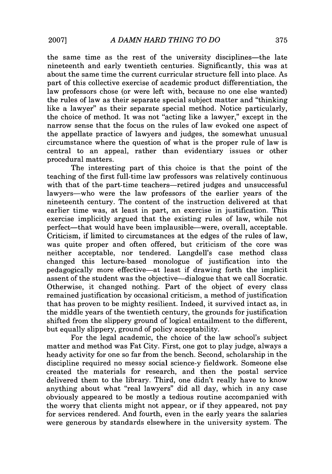the same time as the rest of the university disciplines-the late nineteenth and early twentieth centuries. Significantly, this was at about the same time the current curricular structure fell into place. As part of this collective exercise of academic product differentiation, the law professors chose (or were left with, because no one else wanted) the rules of law as their separate special subject matter and "thinking like a lawyer" as their separate special method. Notice particularly, the choice of method. It was not "acting like a lawyer," except in the narrow sense that the focus on the rules of law evoked one aspect of the appellate practice of lawyers and judges, the somewhat unusual circumstance where the question of what is the proper rule of law is central to an appeal, rather than evidentiary issues or other procedural matters.

The interesting part of this choice is that the point of the teaching of the first full-time law professors was relatively continuous with that of the part-time teachers—retired judges and unsuccessful lawyers-who were the law professors of the earlier years of the nineteenth century. The content of the instruction delivered at that earlier time was, at least in part, an exercise in justification. This exercise implicitly argued that the existing rules of law, while not perfect-that would have been implausible-were, overall, acceptable. Criticism, if limited to circumstances at the edges of the rules of law, was quite proper and often offered, but criticism of the core was neither acceptable, nor tendered. Langdell's case method class changed this lecture-based monologue of justification into the pedagogically more effective-at least if drawing forth the implicit assent of the student was the objective-dialogue that we call Socratic. Otherwise, it changed nothing. Part of the object of every class remained justification by occasional criticism, a method of justification that has proven to be mighty resilient. Indeed, it survived intact as, in the middle years of the twentieth century, the grounds for justification shifted from the slippery ground of logical entailment to the different, but equally slippery, ground of policy acceptability.

For the legal academic, the choice of the law school's subject matter and method was Fat City. First, one got to play judge, always a heady activity for one so far from the bench. Second, scholarship in the discipline required no messy social science-y fieldwork. Someone else created the materials for research, and then the postal service delivered them to the library. Third, one didn't really have to know anything about what "real lawyers" did all day, which in any case obviously appeared to be mostly a tedious routine accompanied with the worry that clients might not appear, or if they appeared, not pay for services rendered. And fourth, even in the early years the salaries were generous by standards elsewhere in the university system. The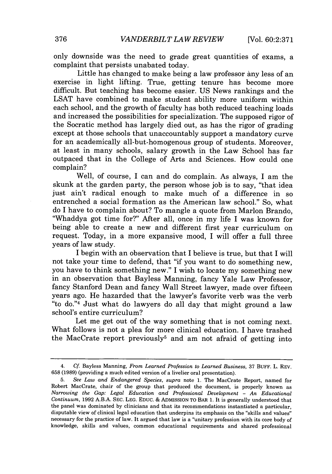only downside was the need to grade great quantities of exams, a complaint that persists unabated today.

Little has changed to make being a law professor any less of an exercise in light lifting. True, getting tenure has become more difficult. But teaching has become easier. US News rankings and the LSAT have combined to make student ability more uniform within each school, and the growth of faculty has both reduced teaching loads and increased the possibilities for specialization. The supposed rigor of the Socratic method has largely died out, as has the rigor of grading except at those schools that unaccountably support a mandatory curve for an academically all-but-homogenous group of students. Moreover, at least in many schools, salary growth in the Law School has far outpaced that in the College of Arts and Sciences. How could one complain?

Well, of course, I can and do complain. As always, I am the skunk at the garden party, the person whose job is to say, "that idea just ain't radical enough to make much of a difference in so entrenched a social formation as the American law school." So, what do I have to complain about? To mangle a quote from Marlon Brando, "Whaddya got time for?" After all, once in my life I was known for being able to create a new and different first year curriculum on request. Today, in a more expansive mood, I will offer a full three years of law study.

I begin with an observation that I believe is true, but that I will not take your time to defend, that "if you want to do something new, you have to think something new." I wish to locate my something new in an observation that Bayless Manning, fancy Yale Law Professor, fancy Stanford Dean and fancy Wall Street lawyer, made over fifteen years ago. He hazarded that the lawyer's favorite verb was the verb "to do."<sup>4</sup> Just what do lawyers do all day that might ground a law school's entire curriculum?

Let me get out of the way something that is not coming next. What follows is not a plea for more clinical education. I have trashed the MacCrate report previously<sup>5</sup> and am not afraid of getting into

<sup>4.</sup> Cf. Bayless Manning, *From Learned Profession to Learned Business,* **37 BUFF.** L. REV. 658 (1989) (providing a much edited version of a livelier oral presentation).

<sup>5.</sup> *See Law and Endangered Species, supra* note 1. The MacCrate Report, named for Robert MacCrate, chair of the group that produced the document, is properly known as *Narrowing the Gap: Legal Education and Professional Development - An Educational Continuum,* 1992 A.B.A. SEC. LEG. EDUC. & **ADMISSION** TO BAR 1. It is generally understood that the panel was dominated by clinicians and that its recommendations instantiated a particular, disputable view of clinical legal education that underpins its emphasis on the "skills and values" necessary for the practice of law. It argued that law is a "unitary profession with its core body of knowledge, skills and values, common educational requirements and shared professional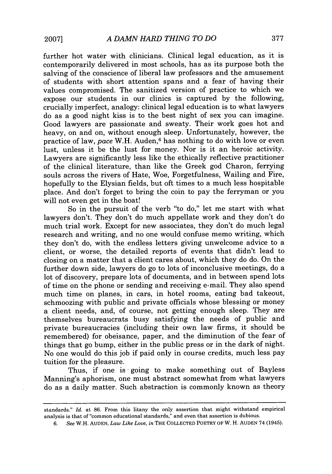further hot water with clinicians. Clinical legal education, as it is contemporarily delivered in most schools, has as its purpose both the salving of the conscience of liberal law professors and the amusement of students with short attention spans and a fear of having their values compromised. The sanitized version of practice to which we expose our students in our clinics is captured by the following, crucially imperfect, analogy: clinical legal education is to what lawyers do as a good night kiss is to the best night of sex you can imagine. Good lawyers are passionate and sweaty. Their work goes hot and heavy, on and on, without enough sleep. Unfortunately, however, the practice of law, *pace* W.H. Auden,<sup>6</sup> has nothing to do with love or even lust, unless it be the lust for money. Nor is it an heroic activity. Lawyers are significantly less like the ethically reflective practitioner of the clinical literature, than like the Greek god Charon, ferrying souls across the rivers of Hate, Woe, Forgetfulness, Wailing and Fire, hopefully to the Elysian fields, but oft times to a much less hospitable place. And don't forget to bring the coin to pay the ferryman or you will not even get in the boat!

So in the pursuit of the verb "to do," let me start with what lawyers don't. They don't do much appellate work and they don't do much trial work. Except for new associates, they don't do much legal research and writing, and no one would confuse memo writing, which they don't do, with the endless letters giving unwelcome advice to a client, or worse, the detailed reports of events that didn't lead to closing on a matter that a client cares about, which they do do. On the further down side, lawyers do go to lots of inconclusive meetings, do a lot of discovery, prepare lots of documents, and in between spend lots of time on the phone or sending and receiving e-mail. They also spend much time on planes, in cars, in hotel rooms, eating bad takeout, schmoozing with public and private officials whose blessing or money a client needs, and, of course, not getting enough sleep. They are themselves bureaucrats busy satisfying the needs of public and private bureaucracies (including their own law firms, it should be remembered) for obeisance, paper, and the diminution of the fear of things that go bump, either in the public press or in the dark of night. No one would do this job if paid only in course credits, much less pay tuition for the pleasure.

Thus, if one is going to make something out of Bayless Manning's aphorism, one must abstract somewhat from what lawyers do as a daily matter. Such abstraction is commonly known as theory

standards." *Id.* at 86. From this litany the only assertion that might withstand empirical analysis is that of "common educational standards," and even that assertion is dubious.

<sup>6.</sup> *See* W.H. AUDEN, *Law Like Love, in* THE COLLECTED POETRY OF W. H. AUDEN 74 (1945).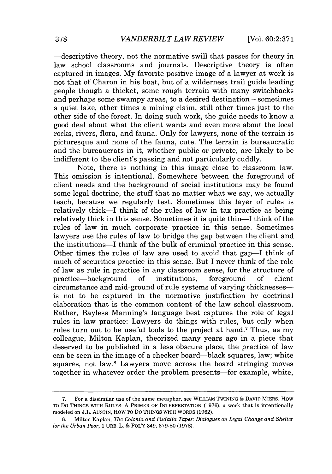-descriptive theory, not the normative swill that passes for theory in law school classrooms and journals. Descriptive theory is often captured in images. My favorite positive image of a lawyer at work is not that of Charon in his boat, but of a wilderness trail guide leading people though a thicket, some rough terrain with many switchbacks and perhaps some swampy areas, to a desired destination  $-$  sometimes a quiet lake, other times a mining claim, still other times just to the other side of the forest. In doing such work, the guide needs to know a good deal about what the client wants and even more about the local rocks, rivers, flora, and fauna. Only for lawyers, none of the terrain is picturesque and none of the fauna, cute. The terrain is bureaucratic and the bureaucrats in it, whether public or private, are likely to be indifferent to the client's passing and not particularly cuddly.

Note, there is nothing in this image close to classroom law. This omission is intentional. Somewhere between the foreground of client needs and the background of social institutions may be found some legal doctrine, the stuff that no matter what we say, we actually teach, because we regularly test. Sometimes this layer of rules is relatively thick-I think of the rules of law in tax practice as being relatively thick in this sense. Sometimes it is quite thin—I think of the rules of law in much corporate practice in this sense. Sometimes lawyers use the rules of law to bridge the gap between the client and the institutions-I think of the bulk of criminal practice in this sense. Other times the rules of law are used to avoid that gap—I think of much of securities practice in this sense. But I never think of the role of law as rule in practice in any classroom sense, for the structure of practice-background of institutions, foreground of client circumstance and mid-ground of rule systems of varying thicknesses is not to be captured in the normative justification by doctrinal elaboration that is the common content of the law school classroom. Rather, Bayless Manning's language best captures the role of legal rules in law practice: Lawyers do things with rules, but only when rules turn out to be useful tools to the project at hand.<sup>7</sup> Thus, as my colleague, Milton Kaplan, theorized many years ago in a piece that deserved to be published in a less obscure place, the practice of law can be seen in the image of a checker board—black squares, law; white squares, not law.<sup>8</sup> Lawyers move across the board stringing moves together in whatever order the problem presents—for example, white,

<sup>7.</sup> For a dissimilar use of the same metaphor, see WILLIAM TWINING & DAVID MIERS, How TO Do THINGS WITH RULES: A PRIMER OF INTERPRETATION (1976), a work that is intentionally modeled on J.L. AUSTIN, HOW TO DO THINGS WITH WORDS (1962).

<sup>8.</sup> Milton Kaplan, *The Colonia and Fudalia Tapes: Dialogues on Legal Change and Shelter for the Urban Poor,* 1 URB. L. *&* POLY 349, 379-80 (1978).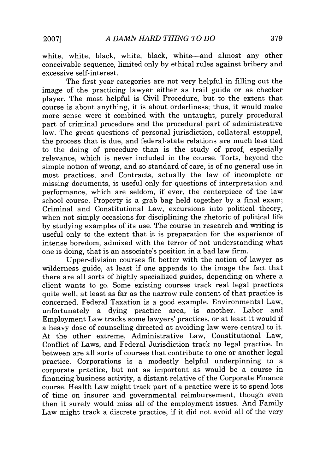white, white, black, white, black, white-and almost any other conceivable sequence, limited only by ethical rules against bribery and excessive self-interest.

The first year categories are not very helpful in filling out the image of the practicing lawyer either as trail guide or as checker player. The most helpful is Civil Procedure, but to the extent that course is about anything, it is about orderliness; thus, it would make more sense were it combined with the untaught, purely procedural part of criminal procedure and the procedural part of administrative law. The great questions of personal jurisdiction, collateral estoppel, the process that is due, and federal-state relations are much less tied to the doing of procedure than is the study of proof, especially relevance, which is never included in the course. Torts, beyond the simple notion of wrong, and so standard of care, is of no general use in most practices, and Contracts, actually the law of incomplete or missing documents, is useful only for questions of interpretation and performance, which are seldom, if ever, the centerpiece of the law school course. Property is a grab bag held together by a final exam; Criminal and Constitutional Law, excursions into political theory, when not simply occasions for disciplining the rhetoric of political life by studying examples of its use. The course in research and writing is useful only to the extent that it is preparation for the experience of intense boredom, admixed with the terror of not understanding what one is doing, that is an associate's position in a bad law firm.

Upper-division courses fit better with the notion of lawyer as wilderness guide, at least if one appends to the image the fact that there are all sorts of highly specialized guides, depending on where a client wants to go. Some existing courses track real legal practices quite well, at least as far as the narrow rule content of that practice is concerned. Federal Taxation is a good example. Environmental Law, unfortunately a dying practice area, is another. Labor and Employment Law tracks some lawyers' practices, or at least it would if a heavy dose of counseling directed at avoiding law were central to it. At the other extreme, Administrative Law, Constitutional Law, Conflict of Laws, and Federal Jurisdiction track no legal practice. In between are all sorts of courses that contribute to one or another legal practice. Corporations is a modestly helpful underpinning to a corporate practice, but not as important as would be a course in financing business activity, a distant relative of the Corporate Finance course. Health Law might track part of a practice were it to spend lots of time on insurer and governmental reimbursement, though even then it surely would miss all of the employment issues. And Family Law might track a discrete practice, if it did not avoid all of the very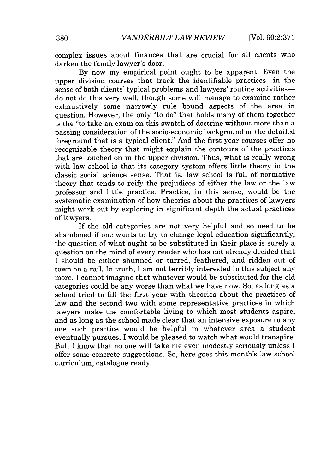complex issues about finances that are crucial for all clients who darken the family lawyer's door.

By now my empirical point ought to be apparent. Even the upper division courses that track the identifiable practices—in the sense of both clients' typical problems and lawyers' routine activitiesdo not do this very well, though some will manage to examine rather exhaustively some narrowly rule bound aspects of the area in question. However, the only "to do" that holds many of them together is the "to take an exam on this swatch of doctrine without more than a passing consideration of the socio-economic background or the detailed foreground that is a typical client." And the first year courses offer no recognizable theory that might explain the contours of the practices that are touched on in the upper division. Thus, what is really wrong with law school is that its category system offers little theory in the classic social science sense. That is, law school is full of normative theory that tends to reify the prejudices of either the law or the law professor and little practice. Practice, in this sense, would be the systematic examination of how theories about the practices of lawyers might work out by exploring in significant depth the actual practices of lawyers.

If the old categories are not very helpful and so need to be abandoned if one wants to try to change legal education significantly, the question of what ought to be substituted in their place is surely a question on the mind of every reader who has not already decided that I should be either shunned or tarred, feathered, and ridden out of town on a rail. In truth, I am not terribly interested in this subject any more. I cannot imagine that whatever would be substituted for the old categories could be any worse than what we have now. So, as long as a school tried to fill the first year with theories about the practices of law and the second two with some representative practices in which lawyers make the comfortable living to which most students aspire, and as long as the school made clear that an intensive exposure to any one such practice would be helpful in whatever area a student eventually pursues, I would be pleased to watch what would transpire. But, I know that no one will take me even modestly seriously unless I offer some concrete suggestions. So, here goes this month's law school curriculum, catalogue ready.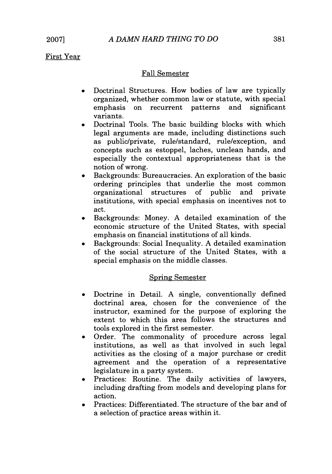First Year

## Fall Semester

- \* Doctrinal Structures. How bodies of law are typically organized, whether common law or statute, with special emphasis on recurrent patterns and significant variants.
- Doctrinal Tools. The basic building blocks with which legal arguments are made, including distinctions such as public/private, rule/standard, rule/exception, and concepts such as estoppel, laches, unclean hands, and especially the contextual appropriateness that is the notion of wrong.
- Backgrounds: Bureaucracies. An exploration of the basic ordering principles that underlie the most common organizational structures of public and private institutions, with special emphasis on incentives not to act.
- \* Backgrounds: Money. A detailed examination of the economic structure of the United States, with special emphasis on financial institutions of all kinds.
- \* Backgrounds: Social Inequality. A detailed examination of the social structure of the United States, with a special emphasis on the middle classes.

## Spring Semester

- \* Doctrine in Detail. A single, conventionally defined doctrinal area, chosen for the convenience of the instructor, examined for the purpose of exploring the extent to which this area follows the structures and tools explored in the first semester.
- Order. The commonality of procedure across legal institutions, as well as that involved in such legal activities as the closing of a major purchase or credit agreement and the operation of a representative legislature in a party system.
- Practices: Routine. The daily activities of lawyers, including drafting from models and developing plans for action.
- Practices: Differentiated. The structure of the bar and of a selection of practice areas within it.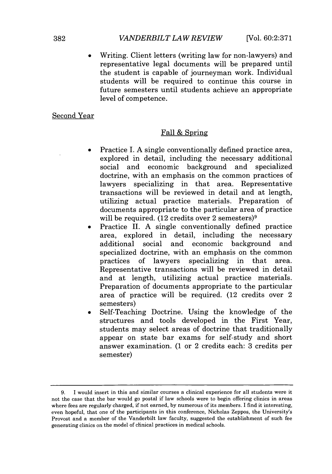Writing. Client letters (writing law for non-lawyers) and representative legal documents will be prepared until the student is capable of journeyman work. Individual students will be required to continue this course in future semesters until students achieve an appropriate level of competence.

#### Second Year

#### Fall & Spring

- Practice I. A single conventionally defined practice area, explored in detail, including the necessary additional social and economic background and specialized doctrine, with an emphasis on the common practices of lawyers specializing in that area. Representative transactions will be reviewed in detail and at length, utilizing actual practice materials. Preparation of documents appropriate to the particular area of practice will be required.  $(12 \text{ credits over } 2 \text{ semesters})^9$
- Practice II. A single conventionally defined practice area, explored in detail, including the necessary additional social and economic background and specialized doctrine, with an emphasis on the common practices of lawyers specializing in that area. Representative transactions will be reviewed in detail and at length, utilizing actual practice materials. Preparation of documents appropriate to the particular area of practice will be required. (12 credits over 2 semesters)
- Self-Teaching Doctrine. Using the knowledge of the structures and tools developed in the First Year, students may select areas of doctrine that traditionally appear on state bar exams for self-study and short answer examination. (1 or 2 credits each: 3 credits per semester)

<sup>9.</sup> I would insert in this and similar courses a clinical experience for all students were it not the case that the bar would go postal if law schools were to begin offering clinics in areas where fees are regularly charged, if not earned, by numerous of its members. I find it interesting, even hopeful, that one of the participants in this conference, Nicholas Zeppos, the University's Provost and a member of the Vanderbilt law faculty, suggested the establishment of such fee generating clinics on the model of chinical practices in medical schools.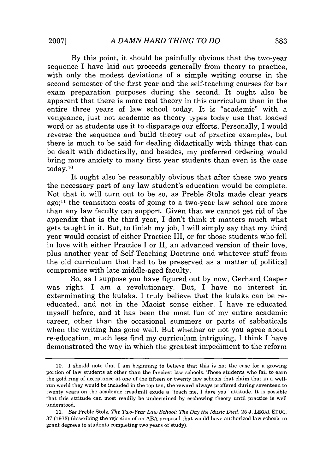By this point, it should be painfully obvious that the two-year sequence I have laid out proceeds generally from theory to practice, with only the modest deviations of a simple writing course in the second semester of the first year and the self-teaching courses for bar exam preparation purposes during the second. It ought also be apparent that there is more real theory in this curriculum than in the entire three years of law school today. It is "academic" with a vengeance, just not academic as theory types today use that loaded word or as students use it to disparage our efforts. Personally, I would reverse the sequence and build theory out of practice examples, but there is much to be said for dealing didactically with things that can be dealt with didactically, and besides, my preferred ordering would bring more anxiety to many first year students than even is the case [today.10](https://today.10)

It ought also be reasonably obvious that after these two years the necessary part of any law student's education would be complete. Not that it will turn out to be so, as Preble Stolz made clear years ago; $11$  the transition costs of going to a two-year law school are more than any law faculty can support. Given that we cannot get rid of the appendix that is the third year, I don't think it matters much what gets taught in it. But, to finish my job, I will simply say that my third year would consist of either Practice III, or for those students who fell in love with either Practice I or II, an advanced version of their love, plus another year of Self-Teaching Doctrine and whatever stuff from the old curriculum that had to be preserved as a matter of political compromise with late-middle-aged faculty.

So, as I suppose you have figured out by now, Gerhard Casper was right. I am a revolutionary. But, I have no interest in exterminating the kulaks. I truly believe that the kulaks can be reeducated, and not in the Maoist sense either. I have re-educated myself before, and it has been the most fun of my entire academic career, other than the occasional summers or parts of sabbaticals when the writing has gone well. But whether or not you agree about re-education, much less find my curriculum intriguing, I think I have demonstrated the way in which the greatest impediment to the reform

<sup>10.</sup> I should note that I am beginning to believe that this is not the case for a growing portion of law students at other than the fanciest law schools. Those students who fail to earn the gold ring of acceptance at one of the fifteen or twenty law schools that claim that in a wellrun world they would be included in the top ten, the reward always proffered during seventeen to twenty years on the academic treadmill exude a "teach me, I dare you" attitude. It is possible that this attitude can most readily be undermined by eschewing theory until practice is well understood.

*<sup>11.</sup> See* Preble Stolz, *The Two-Year Law School: The Day the Music Died,* 25 J. LEGAL EDUC. 37 (1973) (describing the rejection of an ABA proposal that would have authorized law schools to grant degrees to students completing two years of study).